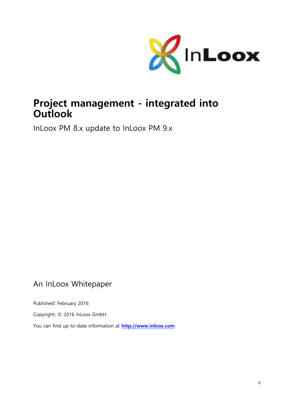

# **Project management - integrated into Outlook**

InLoox PM 8.x update to InLoox PM 9.x

## An InLoox Whitepaper

Published: February 2016

Copyright: © 2016 InLoox GmbH.

You can find up-to-date information at **[http://www.inloox.com](http://www.inloox.com/)**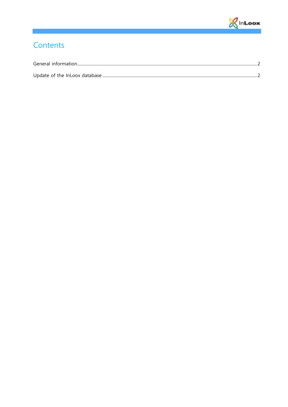

# Contents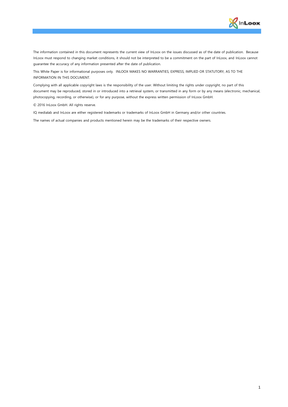

The information contained in this document represents the current view of InLoox on the issues discussed as of the date of publication. Because InLoox must respond to changing market conditions, it should not be interpreted to be a commitment on the part of InLoox, and InLoox cannot guarantee the accuracy of any information presented after the date of publication.

This White Paper is for informational purposes only. INLOOX MAKES NO WARRANTIES, EXPRESS, IMPLIED OR STATUTORY, AS TO THE INFORMATION IN THIS DOCUMENT.

Complying with all applicable copyright laws is the responsibility of the user. Without limiting the rights under copyright, no part of this document may be reproduced, stored in or introduced into a retrieval system, or transmitted in any form or by any means (electronic, mechanical, photocopying, recording, or otherwise), or for any purpose, without the express written permission of InLoox GmbH.

© 2016 InLoox GmbH. All rights reserve.

IQ medialab and InLoox are either registered trademarks or trademarks of InLoox GmbH in Germany and/or other countries.

The names of actual companies and products mentioned herein may be the trademarks of their respective owners.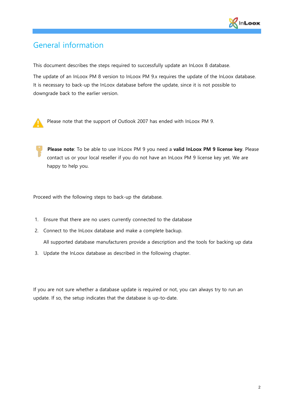

#### <span id="page-3-0"></span>General information

This document describes the steps required to successfully update an InLoox 8 database.

The update of an InLoox PM 8 version to InLoox PM 9.x requires the update of the InLoox database. It is necessary to back-up the InLoox database before the update, since it is not possible to downgrade back to the earlier version.



Please note that the support of Outlook 2007 has ended with InLoox PM 9.

**Please note**: To be able to use InLoox PM 9 you need a **valid InLoox PM 9 license key**. Please contact us or your local reseller if you do not have an InLoox PM 9 license key yet. We are happy to help you.

Proceed with the following steps to back-up the database.

- 1. Ensure that there are no users currently connected to the database
- 2. Connect to the InLoox database and make a complete backup. All supported database manufacturers provide a description and the tools for backing up data
- 3. Update the InLoox database as described in the following chapter.

If you are not sure whether a database update is required or not, you can always try to run an update. If so, the setup indicates that the database is up-to-date.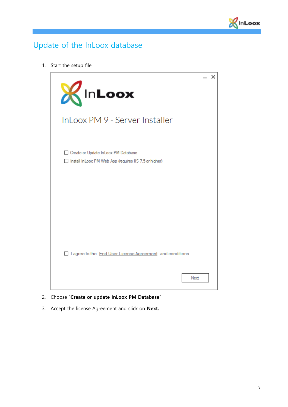

### <span id="page-4-0"></span>Update of the InLoox database

1. Start the setup file.



#### 2. Choose "**Create or update InLoox PM Database**"

3. Accept the license Agreement and click on **Next.**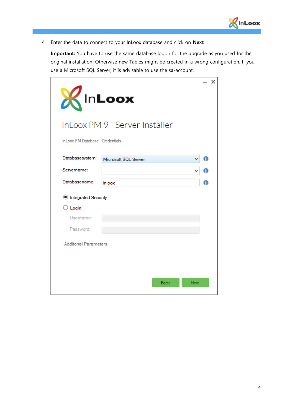

4. Enter the data to connect to your InLoox database and click on **Next**

**Important:** You have to use the same database logon for the upgrade as you used for the original installation. Otherwise new Tables might be created in a wrong configuration. If you use a Microsoft SQL Server, it is advisable to use the sa-account.

| KInLoox                          | InLoox PM 9 - Server Installer |   | × |
|----------------------------------|--------------------------------|---|---|
| InLoox PM Database - Credentials |                                |   |   |
| Databasesystem:                  | Microsoft SQL Server           | A |   |
| Servername:                      |                                |   |   |
| Databasename:                    | inloox                         | 0 |   |
| <b>Integrated Security</b>       |                                |   |   |
| $\bigcirc$ Login                 |                                |   |   |
| Username:                        |                                |   |   |
| Password:                        |                                |   |   |
| <b>Additonal Parameters</b>      |                                |   |   |
|                                  |                                |   |   |
|                                  | <b>Back</b><br>Next            |   |   |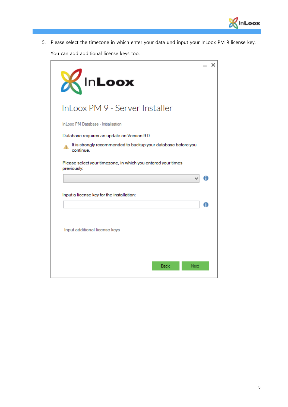

5. Please select the timezone in which enter your data und input your InLoox PM 9 license key.

You can add additional license keys too.

|                                                                                  |   | × |
|----------------------------------------------------------------------------------|---|---|
| KInLoox                                                                          |   |   |
| InLoox PM 9 - Server Installer                                                   |   |   |
| InLoox PM Database - Initialisation                                              |   |   |
| Database requires an update on Version 9.0                                       |   |   |
| It is strongly recommended to backup your database before you<br>А.<br>continue. |   |   |
| Please select your timezone, in which you entered your times<br>previously:      |   |   |
|                                                                                  |   |   |
|                                                                                  |   |   |
| Input a license key for the installation:                                        |   |   |
|                                                                                  | A |   |
|                                                                                  |   |   |
| Input additional license keys                                                    |   |   |
|                                                                                  |   |   |
|                                                                                  |   |   |
|                                                                                  |   |   |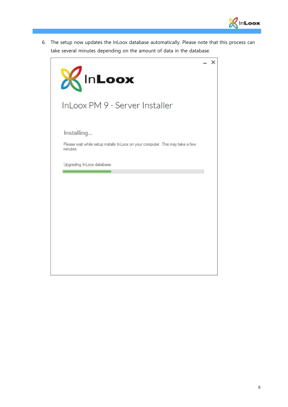

6. The setup now updates the InLoox database automatically. Please note that this process can take several minutes depending on the amount of data in the database.

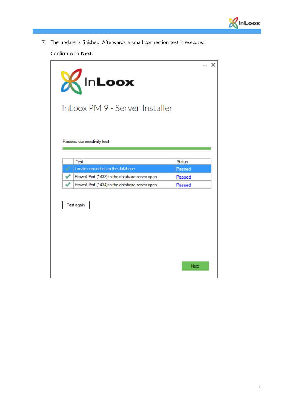

7. The update is finished. Afterwards a small connection test is executed.

Confirm with **Next.**